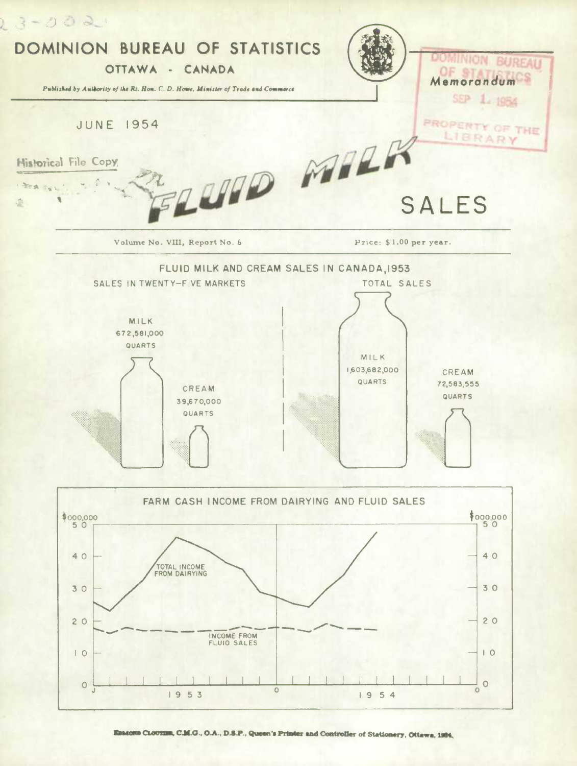

Emacers CLOUTER, C.M.G., O.A., D.S.P., Queen's Printer and Controller of Stationery, Ottawa, 1984.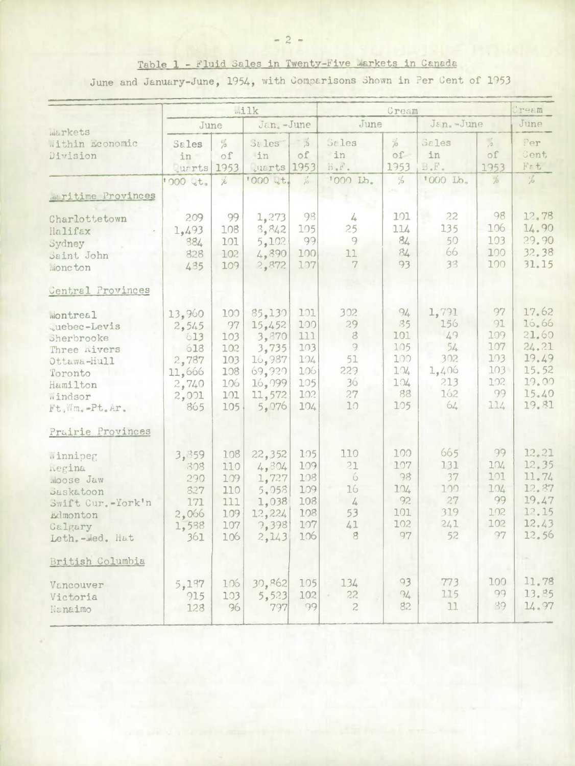## Table 1 - Fluid Sales in Twenty-Five Markets in Canada

June and January-June, 1954, with Comparisons Shown in Per Cent of 1953

|                                                                                                                          | Milk                                                                      |                                                            |                                                                                     |                                                             |                                                                                | Uream                                                    |                                                              |                                                              |                                                                               |
|--------------------------------------------------------------------------------------------------------------------------|---------------------------------------------------------------------------|------------------------------------------------------------|-------------------------------------------------------------------------------------|-------------------------------------------------------------|--------------------------------------------------------------------------------|----------------------------------------------------------|--------------------------------------------------------------|--------------------------------------------------------------|-------------------------------------------------------------------------------|
|                                                                                                                          | June                                                                      |                                                            | Jan.-June                                                                           |                                                             | June                                                                           |                                                          | Jan.-June                                                    |                                                              | June                                                                          |
| Warkets<br>Within Economic<br>Division                                                                                   | Sales<br>in<br><b>Juarts</b>                                              | $\frac{d}{d}$<br>of<br>1953                                | Sales<br>in<br>uarts 1953<br>'000 Qt.                                               | $\frac{1}{2}$<br>Of                                         | <b>Sales</b><br>in<br>B.F.<br>'000 Lb.                                         | $\frac{1}{\sqrt{2}}$<br>$-10$<br>1953<br>%               | Sales<br>in<br>B F.<br>'000 Lb.                              | $\frac{1}{2}$<br>$\circ$ f<br>1953<br>$\frac{1}{10}$         | Per<br>Cent<br>F <sub>5</sub><br>%                                            |
| Maritime Provinces                                                                                                       | 1000 Qt.                                                                  | Ł                                                          |                                                                                     | $\frac{\partial f}{\partial \phi}$                          |                                                                                |                                                          |                                                              |                                                              |                                                                               |
| Charlottetown<br>Halifax<br>Sydney<br>Saint John<br>Moncton                                                              | 209<br>1,493<br>384<br>828<br>485                                         | 99<br>108<br>101<br>102<br>109                             | 1,273<br>3,842<br>5,102<br>4,890<br>2,872                                           | 98<br>105<br>99<br>100<br>107                               | 4<br>25<br>9<br>11<br>7                                                        | 101<br>114<br>84<br>84<br>93                             | 22<br>135<br>50<br>66<br>33                                  | 98<br>106<br>103<br>100<br>100                               | 12.78<br>14.90<br>29.90<br>32.38<br>31.15                                     |
| Central Provinces                                                                                                        |                                                                           |                                                            |                                                                                     |                                                             |                                                                                |                                                          |                                                              |                                                              |                                                                               |
| wontreal<br>Quebec-Levis<br>Sherbrooke<br>Three nivers<br>Ottawa-Hull<br>Toronto<br>Hamilton<br>Windsor<br>Ft.Wm.-Pt.Ar. | 13,960<br>2,545<br>613<br>618<br>2,787<br>11,666<br>2,740<br>2,001<br>865 | 100<br>97<br>103<br>102<br>103<br>108<br>106<br>101<br>105 | 85,130<br>15,452<br>3,870<br>3,735<br>16,987<br>69,920<br>16,099<br>11,572<br>5,076 | 101<br>100<br>111<br>103<br>104<br>106<br>105<br>102<br>104 | 302<br>29<br>$\delta$<br>9<br>51<br>229<br>36<br>27<br>10                      | 94<br>35<br>101<br>105<br>100<br>104<br>104<br>88<br>105 | 1,791<br>156<br>49<br>54<br>302<br>1,406<br>213<br>162<br>64 | 97<br>91<br>109<br>107<br>103<br>$103 -$<br>102<br>99<br>114 | 17.62<br>16.66<br>21.60<br>24.21<br>19.49<br>15.52<br>19.00<br>15.40<br>19.81 |
| Prairie Provinces                                                                                                        |                                                                           |                                                            |                                                                                     |                                                             |                                                                                |                                                          |                                                              |                                                              |                                                                               |
| Winnipeg<br>hegina<br>Moose Jaw<br>Saskatoon<br>Swift Cur.-York'n<br>Edmonton<br>Calgary<br>Leth.-wed. Hat               | 3,859<br>308<br>290<br>827<br>171<br>2,066<br>1,588<br>361                | 108<br>110<br>109<br>110<br>111<br>109<br>107<br>106       | 22,352<br>4,304<br>1,727<br>5,058<br>1,038<br>12,224<br>9,398<br>2, 143             | 105<br>109<br>108<br>109<br>108<br>108<br>107<br>106        | 110<br>21<br>$\ddot{\circ}$<br>16<br>$\frac{1}{4}$<br>53<br>41<br>$\mathbf{g}$ | 100<br>107<br>98<br>104<br>92<br>101<br>102<br>97        | 665<br>131<br>37<br>100<br>27<br>319<br>241<br>52            | 99<br>104<br>101<br>104<br>99<br>102<br>102<br>97            | 12, 21<br>12.35<br>11.74<br>12.87<br>19.47<br>12.15<br>12.43<br>12.56         |
| British Columbia                                                                                                         |                                                                           |                                                            |                                                                                     |                                                             |                                                                                |                                                          |                                                              |                                                              |                                                                               |
| Vancouver<br>Victoria<br>Nanaimo                                                                                         | 5,187<br>915<br>128                                                       | 106<br>103<br>96                                           | 30,862<br>5,523<br>797                                                              | 105<br>102<br>99                                            | 134<br>22<br>$\overline{c}$                                                    | 93<br>94.<br>82                                          | 773<br>115<br>11                                             | 100<br>99<br>39                                              | 11.78<br>13.85<br>14.97                                                       |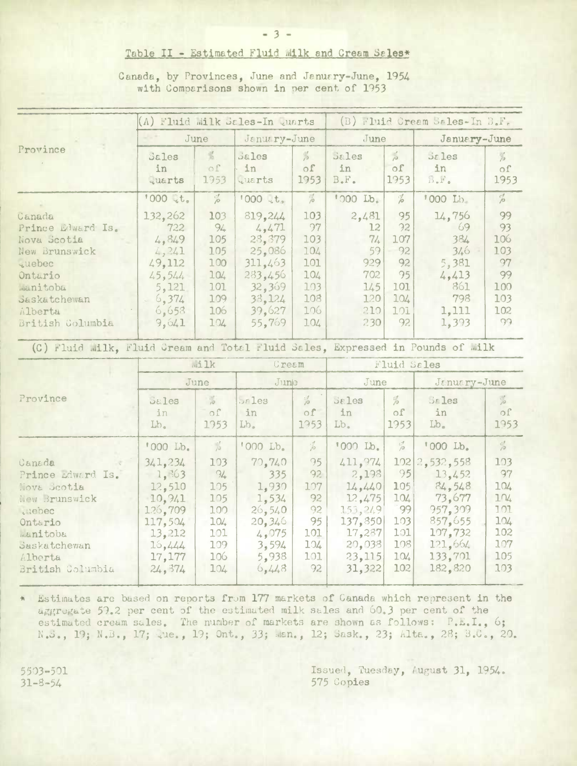## Table II - Estimated Fluid Milk and Cream Sales\*

| rovince                                                                                                                           | (A) Fluid Milk Sales-In quarts                                                                     |                                                                       |                                                                                                     | (B) Fluid Cream Sales-In B.F.                                     |                                                                    |                                                              |                                                                              |                                                                |
|-----------------------------------------------------------------------------------------------------------------------------------|----------------------------------------------------------------------------------------------------|-----------------------------------------------------------------------|-----------------------------------------------------------------------------------------------------|-------------------------------------------------------------------|--------------------------------------------------------------------|--------------------------------------------------------------|------------------------------------------------------------------------------|----------------------------------------------------------------|
|                                                                                                                                   |                                                                                                    | June                                                                  | January-June                                                                                        |                                                                   | June                                                               |                                                              | January-June                                                                 |                                                                |
|                                                                                                                                   | Sales<br>in<br><b>Quarts</b>                                                                       | $\frac{\partial f}{\partial x}$<br>$\circ$ f<br>1953                  | Sales<br>in<br>quarts                                                                               | $\frac{1}{\sqrt{2}}$<br>$\circ$ f<br>1953                         | <b>Sales</b><br>in<br>B F.                                         | $\frac{d}{d\theta}$<br>0 <sup>f</sup><br>1953                | <b>Sales</b><br>in<br>$B \bullet F \bullet$                                  | $\frac{1}{10}$<br>$\circ$ f<br>1953                            |
|                                                                                                                                   | 1000 Qt.                                                                                           | $\%$                                                                  | $1000$ it.                                                                                          | $\frac{7}{10}$                                                    | '000 Lb.                                                           | $\%$                                                         | '000 Lb.                                                                     | $\frac{d}{d}$                                                  |
| anada<br>rince Edward Is.<br>ova Scotia<br>ew Brunswick<br>uebec<br>ntario<br>anitoba<br>askatchewan<br>lberta<br>ritish Golumbia | 132,262<br>722<br>4,849<br>4,241<br>49,112<br>45,544<br>5,121<br>6,374<br>$\sim$<br>6,653<br>9,641 | 103<br>$94 -$<br>105<br>105<br>100<br>104<br>101<br>109<br>106<br>104 | 819,244<br>4,471<br>28,379<br>25,086<br>311,463<br>283,456<br>32,369<br>33, 124<br>39,627<br>55,769 | 103<br>97<br>103<br>104<br>101<br>104<br>103<br>108<br>106<br>104 | 2,481<br>12<br>71.<br>59<br>929<br>702<br>145<br>120<br>210<br>230 | 95<br>92<br>107<br>92<br>92<br>95<br>101<br>104<br>101<br>92 | 14,756<br>69<br>384<br>346<br>5,381<br>4,413<br>861<br>798<br>1,111<br>1,393 | 99<br>93<br>106<br>103<br>97<br>99<br>100<br>103<br>102<br>99. |
|                                                                                                                                   |                                                                                                    |                                                                       |                                                                                                     |                                                                   |                                                                    |                                                              |                                                                              |                                                                |

Canada, by Provinces, June and January-June, 1954 with Comparisons shown in per cent of 1953

(C) Fluid Milk, Fluid Gream and Total Fluid Sales, Expressed in Pounds of Milk

|                                                                                                                                                    | <b>Milk</b><br>June                                                                                      |                                                                   | Cream                                                                                   |                                                              | Fluid Sales                                                                                         |                                                           |                                                                                                               |                                                                   |  |
|----------------------------------------------------------------------------------------------------------------------------------------------------|----------------------------------------------------------------------------------------------------------|-------------------------------------------------------------------|-----------------------------------------------------------------------------------------|--------------------------------------------------------------|-----------------------------------------------------------------------------------------------------|-----------------------------------------------------------|---------------------------------------------------------------------------------------------------------------|-------------------------------------------------------------------|--|
|                                                                                                                                                    |                                                                                                          |                                                                   | $J$ une                                                                                 |                                                              | June                                                                                                |                                                           | January-June                                                                                                  |                                                                   |  |
| Province                                                                                                                                           | Sales<br>in.<br>Lb.                                                                                      | $\frac{1}{10}$<br>$\Omega$<br>1953                                | $5r$ les<br>in<br>$Lb_{-}$                                                              | $\frac{d}{d\theta}$<br>of<br>1953                            | <b>Sales</b><br>in<br>$Lb$ .                                                                        | $\frac{1}{6}$<br>$\circ$ f<br>1953                        | $5r$ les<br>in<br>$Lb$ .                                                                                      | $\frac{1}{10}$<br>of<br>1953                                      |  |
|                                                                                                                                                    | '000 Lb.                                                                                                 | $\frac{1}{\beta}$                                                 | '000 Lb.                                                                                | $\mathcal{L}$                                                | '000 Lb.                                                                                            | $\frac{c}{\beta}$                                         | '000 Lb.                                                                                                      | $\frac{1}{10}$                                                    |  |
| Canada<br>Prince <i>Edward</i> Is.<br>Nova Scotia<br>Hew Brunswick<br>.uebec<br>Ontario<br>manitoba<br>Saskatchewan<br>Alberta<br>British Columbia | 341, 234<br>$-1, 363$<br>12,510<br>10,941<br>126.709<br>117,504<br>13,212<br>16,444<br>17,177<br>24, 374 | 103<br>94<br>105<br>105<br>100<br>104<br>101<br>109<br>106<br>104 | 70,740<br>335<br>1,930<br>1,534<br>26,540<br>20,346<br>4,075<br>3,594<br>5,938<br>6,448 | 95<br>92<br>107<br>92<br>92<br>95<br>101<br>104<br>101<br>92 | 411,974<br>2,198<br>14,440<br>12,475<br>153, 249<br>137,850<br>17,287<br>20,038<br>23,115<br>31,322 | 95<br>105<br>104<br>99<br>103<br>101<br>108<br>104<br>102 | 102 2,532,558<br>13,452<br>84,548<br>73.677<br>957,309<br>857,655<br>107,732<br>121,664<br>133,701<br>182.820 | 103<br>97<br>104<br>104<br>101<br>104<br>102<br>107<br>105<br>103 |  |

Estimates are based on reports from 177 markets of Canada which represent in the aggregate 59.2 per cent of the estimated milk sales and 60.3 per cent of the estimated cream sales. The number of markets are shown as follows: P.E.I., 6; N.S., 19; N.B., 17; lue., 19; Ont., 33; Man., 12; Sask., 23; Alta., 28; B.C., 20.

5503-501  $31 - 8 - 54$ 

ENE OF ENDO | D

Issued, Tuesday, August 31, 1954. 575 Copies